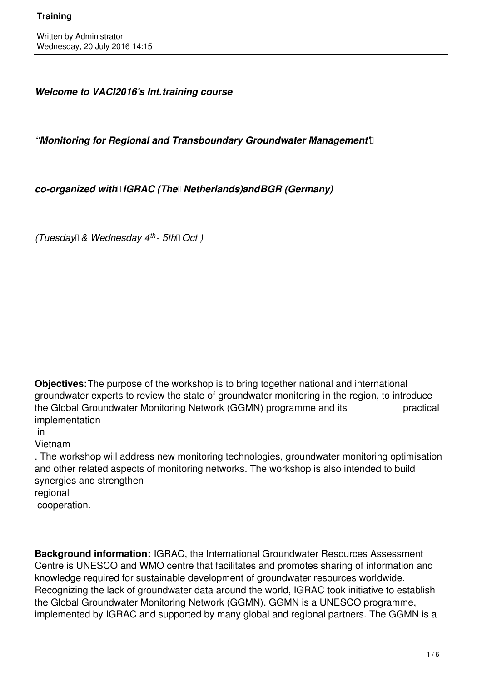*Welcome to VACI2016's Int.training course*

"Monitoring for Regional and Transboundary Groundwater Management<sup>[1]</sup>

*co-organized with IGRAC (The Netherlands)and BGR (Germany)* 

*(Tuesday & Wednesday 4 th - 5th Oct )*

**Objectives:**The purpose of the workshop is to bring together national and international groundwater experts to review the state of groundwater monitoring in the region, to introduce the Global Groundwater Monitoring Network (GGMN) programme and its practical implementation

in

Vietnam

. The workshop will address new monitoring technologies, groundwater monitoring optimisation and other related aspects of monitoring networks. The workshop is also intended to build synergies and strengthen regional cooperation.

**Background information:** IGRAC, the International Groundwater Resources Assessment Centre is UNESCO and WMO centre that facilitates and promotes sharing of information and knowledge required for sustainable development of groundwater resources worldwide. Recognizing the lack of groundwater data around the world, IGRAC took initiative to establish the Global Groundwater Monitoring Network (GGMN). GGMN is a UNESCO programme, implemented by IGRAC and supported by many global and regional partners. The GGMN is a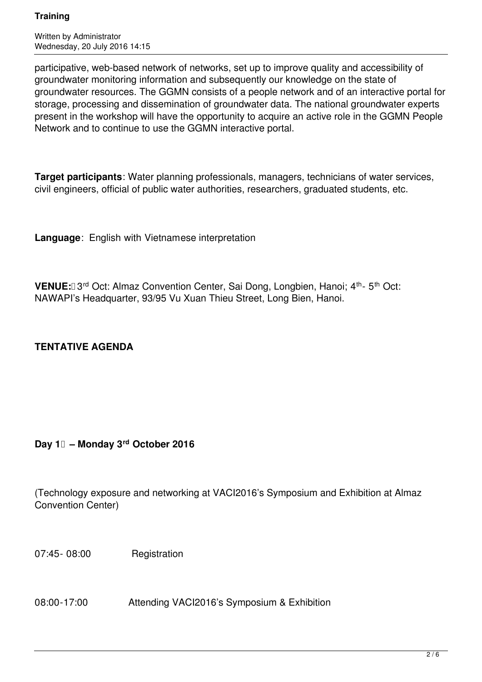Written by Administrator Wednesday, 20 July 2016 14:15

participative, web-based network of networks, set up to improve quality and accessibility of groundwater monitoring information and subsequently our knowledge on the state of groundwater resources. The GGMN consists of a people network and of an interactive portal for storage, processing and dissemination of groundwater data. The national groundwater experts present in the workshop will have the opportunity to acquire an active role in the GGMN People Network and to continue to use the GGMN interactive portal.

**Target participants**: Water planning professionals, managers, technicians of water services, civil engineers, official of public water authorities, researchers, graduated students, etc.

**Language**: English with Vietnamese interpretation

**VENUE:**[] 3<sup>rd</sup> Oct: Almaz Convention Center, Sai Dong, Longbien, Hanoi; 4<sup>th</sup>- 5<sup>th</sup> Oct: NAWAPI's Headquarter, 93/95 Vu Xuan Thieu Street, Long Bien, Hanoi.

# **TENTATIVE AGENDA**

# **Day 1 – Monday 3rd October 2016**

(Technology exposure and networking at VACI2016's Symposium and Exhibition at Almaz Convention Center)

07:45- 08:00 Registration

08:00-17:00 **Attending VACI2016's Symposium & Exhibition**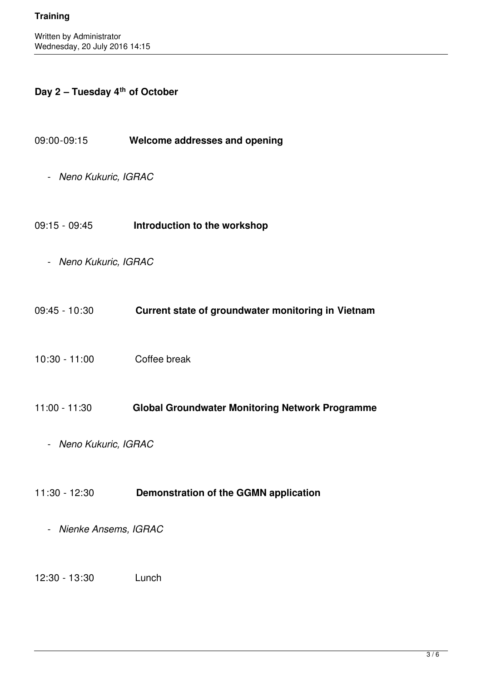## **Day 2 – Tuesday 4th of October**

- 09:00-09:15 **Welcome addresses and opening**
	- *Neno Kukuric, IGRAC*
- 09:15 09:45 **Introduction to the workshop**
	- *Neno Kukuric, IGRAC*
- 09:45 10:30 **Current state of groundwater monitoring in Vietnam**
- 10:30 11:00 Coffee break
- 11:00 11:30 **Global Groundwater Monitoring Network Programme**
	- *Neno Kukuric, IGRAC*

#### 11:30 - 12:30 **Demonstration of the GGMN application**

- *Nienke Ansems, IGRAC*

12:30 - 13:30 Lunch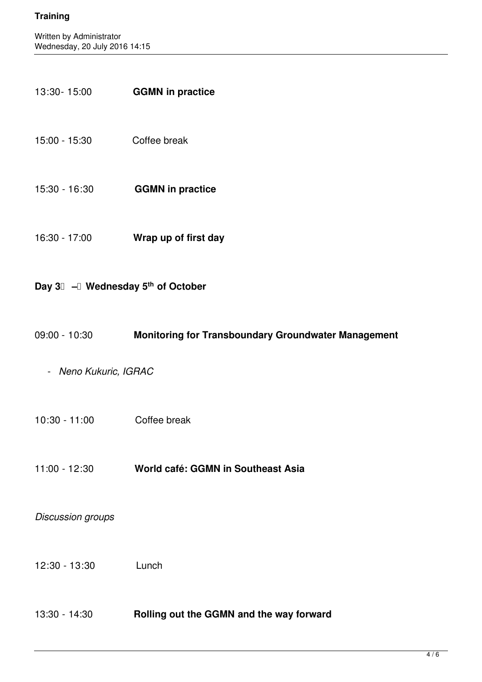13:30- 15:00 **GGMN in practice**

| 15:00 - 15:30                    | Coffee break                                               |
|----------------------------------|------------------------------------------------------------|
| 15:30 - 16:30                    | <b>GGMN in practice</b>                                    |
| 16:30 - 17:00                    | Wrap up of first day                                       |
| Day 3 - Wednesday 5th of October |                                                            |
| 09:00 - 10:30                    | <b>Monitoring for Transboundary Groundwater Management</b> |
| - Neno Kukuric, IGRAC            |                                                            |
| 10:30 - 11:00                    | Coffee break                                               |
| $11:00 - 12:30$                  | World café: GGMN in Southeast Asia                         |
| Discussion groups                |                                                            |
| $12:30 - 13:30$                  | Lunch                                                      |
| 13:30 - 14:30                    | Rolling out the GGMN and the way forward                   |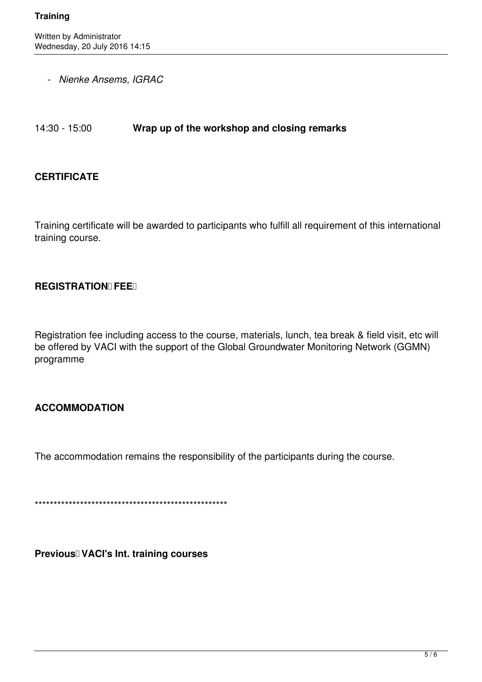- *Nienke Ansems, IGRAC*

14:30 - 15:00 **Wrap up of the workshop and closing remarks**

#### **CERTIFICATE**

Training certificate will be awarded to participants who fulfill all requirement of this international training course.

### **REGISTRATION FEE 1**

Registration fee including access to the course, materials, lunch, tea break & field visit, etc will be offered by VACI with the support of the Global Groundwater Monitoring Network (GGMN) programme

# **ACCOMMODATION**

The accommodation remains the responsibility of the participants during the course.

\*\*\*\*\*\*\*\*\*\*\*\*\*\*\*\*\*\*\*\*\*\*\*\*\*\*\*\*\*\*\*\*\*\*\*\*\*\*\*\*\*\*\*\*\*\*\*\*\*\*\*

**Previous VACI's Int. training courses**